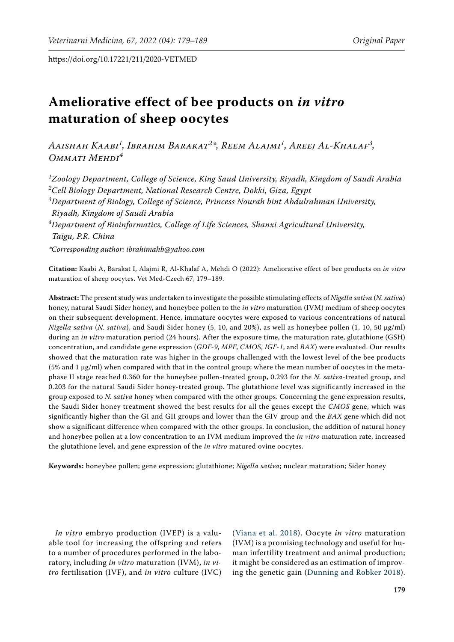# **Ameliorative effect of bee products on** *in vitro*  **maturation of sheep oocytes**

*Aaishah Kaabi<sup>1</sup> , Ibrahim Barakat<sup>2</sup> \*, Reem Alajmi<sup>1</sup> , Areej Al-Khalaf<sup>3</sup> , Ommati Mehdi<sup>4</sup>*

*1 Zoology Department, College of Science, King Saud University, Riyadh, Kingdom of Saudi Arabia 2 Cell Biology Department, National Research Centre, Dokki, Giza, Egypt*

*3 Department of Biology, College of Science, Princess Nourah bint Abdulrahman University, Riyadh, Kingdom of Saudi Arabia*

*4 Department of Bioinformatics, College of Life Sciences, Shanxi Agricultural University, Taigu, P.R. China*

*\*Corresponding author: ibrahimahb@yahoo.com*

**Citation:** Kaabi A, Barakat I, Alajmi R, Al-Khalaf A, Mehdi O (2022): Ameliorative effect of bee products on *in vitro* maturation of sheep oocytes. Vet Med-Czech 67, 179–189.

**Abstract:** The present study was undertaken to investigate the possible stimulating effects of *Nigella sativa* (*N. sativa*) honey, natural Saudi Sider honey, and honeybee pollen to the *in vitro* maturation (IVM) medium of sheep oocytes on their subsequent development. Hence, immature oocytes were exposed to various concentrations of natural *Nigella sativa* (*N. sativa*), and Saudi Sider honey (5, 10, and 20%), as well as honeybee pollen (1, 10, 50 μg/ml) during an *in vitro* maturation period (24 hours). After the exposure time, the maturation rate, glutathione (GSH) concentration, and candidate gene expression (*GDF-9*, *MPF*, *CMOS*, *IGF-1*, and *BAX*) were evaluated. Our results showed that the maturation rate was higher in the groups challenged with the lowest level of the bee products (5% and 1 μg/ml) when compared with that in the control group; where the mean number of oocytes in the metaphase II stage reached 0.360 for the honeybee pollen-treated group, 0.293 for the *N. sativa-*treated group, and 0.203 for the natural Saudi Sider honey-treated group. The glutathione level was significantly increased in the group exposed to *N. sativa* honey when compared with the other groups. Concerning the gene expression results, the Saudi Sider honey treatment showed the best results for all the genes except the *CMOS* gene, which was significantly higher than the GI and GII groups and lower than the GIV group and the *BAX* gene which did not show a significant difference when compared with the other groups. In conclusion, the addition of natural honey and honeybee pollen at a low concentration to an IVM medium improved the *in vitro* maturation rate, increased the glutathione level, and gene expression of the *in vitro* matured ovine oocytes.

**Keywords:** honeybee pollen; gene expression; glutathione; *Nigella sativa*; nuclear maturation; Sider honey

*In vitro* embryo production (IVEP) is a valuable tool for increasing the offspring and refers to a number of procedures performed in the laboratory, including *in vitro* maturation (IVM), *in vitro* fertilisation (IVF), and *in vitro* culture (IVC)

([Viana et al. 2018](#page-10-0)). Oocyte *in vitro* maturation (IVM) is a promising technology and useful for human infertility treatment and animal production; it might be considered as an estimation of improving the genetic gain ([Dunning and Robker 2018](#page-9-0)).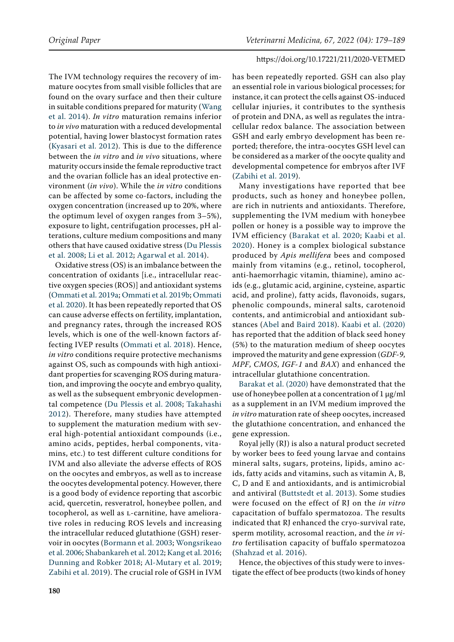The IVM technology requires the recovery of immature oocytes from small visible follicles that are found on the ovary surface and then their culture in suitable conditions prepared for maturity [\(Wang](#page-10-1)  [et al. 2014](#page-10-1)). *In vitro* maturation remains inferior to *in vivo* maturation with a reduced developmental potential, having lower blastocyst formation rates [\(Kyasari et al. 2012\)](#page-9-1). This is due to the difference between the *in vitro* and *in vivo* situations, where maturity occurs inside the female reproductive tract and the ovarian follicle has an ideal protective environment (*in vivo*). While the *in vitro* conditions can be affected by some co-factors, including the oxygen concentration (increased up to 20%, where the optimum level of oxygen ranges from 3–5%), exposure to light, centrifugation processes, pH alterations, culture medium compositions and many others that have caused oxidative stress ([Du Plessis](#page-9-2)  [et al. 2008;](#page-9-2) [Li et al. 2012;](#page-9-3) [Agarwal et al. 2014\)](#page-9-4).

Oxidative stress (OS) is an imbalance between the concentration of oxidants [i.e., intracellular reactive oxygen species (ROS)] and antioxidant systems [\(Ommati et al. 2019a;](#page-10-2) [Ommati et al. 2019b;](#page-10-3) [Ommati](#page-10-4)  [et al. 2020](#page-10-4)). It has been repeatedly reported that OS can cause adverse effects on fertility, implantation, and pregnancy rates, through the increased ROS levels, which is one of the well-known factors affecting IVEP results ([Ommati et al. 2018\)](#page-9-5). Hence, *in vitro* conditions require protective mechanisms against OS, such as compounds with high antioxidant properties for scavenging ROS during maturation, and improving the oocyte and embryo quality, as well as the subsequent embryonic developmental competence ([Du Plessis et al. 2008;](#page-9-2) [Takahashi](#page-10-5)  [2012\)](#page-10-5). Therefore, many studies have attempted to supplement the maturation medium with several high-potential antioxidant compounds (i.e., amino acids, peptides, herbal components, vitamins, etc.) to test different culture conditions for IVM and also alleviate the adverse effects of ROS on the oocytes and embryos, as well as to increase the oocytes developmental potency. However, there is a good body of evidence reporting that ascorbic acid, quercetin, resveratrol, honeybee pollen, and tocopherol, as well as l-carnitine, have ameliorative roles in reducing ROS levels and increasing the intracellular reduced glutathione (GSH) reservoir in oocytes ([Bormann et al. 2003](#page-9-6); [Wongsrikeao](#page-10-6)  [et al. 2006;](#page-10-6) [Shabankareh et al. 2012](#page-10-7); [Kang et al. 2016](#page-9-7); [Dunning and Robker 2018](#page-9-0); [Al-Mutary et al. 2019](#page-9-8); [Zabihi et al. 2019](#page-10-8)). The crucial role of GSH in IVM has been repeatedly reported. GSH can also play an essential role in various biological processes; for instance, it can protect the cells against OS-induced cellular injuries, it contributes to the synthesis of protein and DNA, as well as regulates the intracellular redox balance. The association between GSH and early embryo development has been reported; therefore, the intra-oocytes GSH level can be considered as a marker of the oocyte quality and developmental competence for embryos after IVF [\(Zabihi et al. 2019\)](#page-10-8).

Many investigations have reported that bee products, such as honey and honeybee pollen, are rich in nutrients and antioxidants. Therefore, supplementing the IVM medium with honeybee pollen or honey is a possible way to improve the IVM efficiency ([Barakat et al. 2020](#page-9-9); [Kaabi et al.](#page-9-10) [2020](#page-9-10)). Honey is a complex biological substance produced by *Apis mellifera* bees and composed mainly from vitamins (e.g., retinol, tocopherol, anti-haemorrhagic vitamin, thiamine), amino acids (e.g., glutamic acid, arginine, cysteine, aspartic acid, and proline), fatty acids, flavonoids, sugars, phenolic compounds, mineral salts, carotenoid contents, and antimicrobial and antioxidant substances ([Abel and Baird 2018\)](#page-8-0). [Kaabi et al. \(2020\)](#page-9-10) has reported that the addition of black seed honey (5%) to the maturation medium of sheep oocytes improved the maturity and gene expression (*GDF-9*, *MPF*, *CMOS*, *IGF-1* and *BAX*) and enhanced the intracellular glutathione concentration.

[Barakat et al. \(2020\)](#page-9-9) have demonstrated that the use of honeybee pollen at a concentration of 1 μg/ml as a supplement in an IVM medium improved the *in vitro* maturation rate of sheep oocytes, increased the glutathione concentration, and enhanced the gene expression.

Royal jelly (RJ) is also a natural product secreted by worker bees to feed young larvae and contains mineral salts, sugars, proteins, lipids, amino acids, fatty acids and vitamins, such as vitamin A, B, C, D and E and antioxidants, and is antimicrobial and antiviral [\(Buttstedt et al. 2013](#page-9-11)). Some studies were focused on the effect of RJ on the *in vitro* capacitation of buffalo spermatozoa. The results indicated that RJ enhanced the cryo-survival rate, sperm motility, acrosomal reaction, and the *in vitro* fertilisation capacity of buffalo spermatozoa [\(Shahzad et al. 2016](#page-10-9)).

Hence, the objectives of this study were to investigate the effect of bee products (two kinds of honey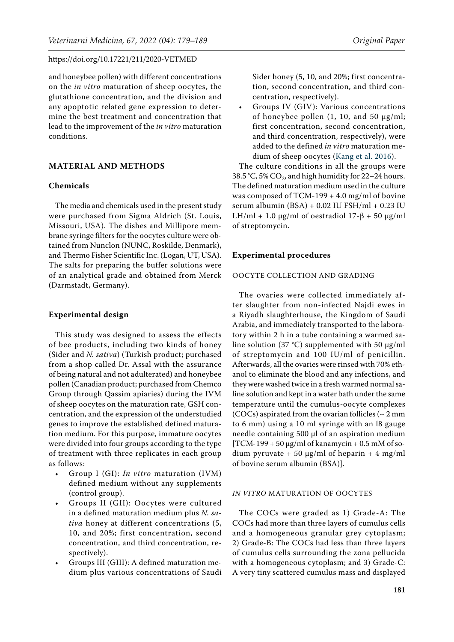and honeybee pollen) with different concentrations on the *in vitro* maturation of sheep oocytes, the glutathione concentration, and the division and any apoptotic related gene expression to determine the best treatment and concentration that lead to the improvement of the *in vitro* maturation conditions.

# **MATERIAL AND METHODS**

#### **Chemicals**

The media and chemicals used in the present study were purchased from Sigma Aldrich (St. Louis, Missouri, USA). The dishes and Millipore membrane syringe filters for the oocytes culture were obtained from Nunclon (NUNC, Roskilde, Denmark), and Thermo Fisher Scientific Inc. (Logan, UT, USA). The salts for preparing the buffer solutions were of an analytical grade and obtained from Merck (Darmstadt, Germany).

### **Experimental design**

This study was designed to assess the effects of bee products, including two kinds of honey (Sider and *N. sativa*) (Turkish product; purchased from a shop called Dr. Assal with the assurance of being natural and not adulterated) and honeybee pollen (Canadian product; purchased from Chemco Group through Qassim apiaries) during the IVM of sheep oocytes on the maturation rate, GSH concentration, and the expression of the understudied genes to improve the established defined maturation medium. For this purpose, immature oocytes were divided into four groups according to the type of treatment with three replicates in each group as follows:

- Group I (GI): *In vitro* maturation (IVM) defined medium without any supplements (control group).
- Groups II (GII): Oocytes were cultured in a defined maturation medium plus *N. sativa* honey at different concentrations (5, 10, and 20%; first concentration, second concentration, and third concentration, respectively).
- Groups III (GIII): A defined maturation medium plus various concentrations of Saudi

Sider honey (5, 10, and 20%; first concentration, second concentration, and third concentration, respectively).

• Groups IV (GIV): Various concentrations of honeybee pollen  $(1, 10, \text{ and } 50 \text{ µg/ml})$ ; first concentration, second concentration, and third concentration, respectively), were added to the defined *in vitro* maturation medium of sheep oocytes [\(Kang et al. 2016](#page-9-7)).

The culture conditions in all the groups were 38.5 °C, 5%  $CO<sub>2</sub>$ , and high humidity for 22–24 hours. The defined maturation medium used in the culture was composed of TCM-199 + 4.0 mg/ml of bovine serum albumin (BSA) + 0.02 IU FSH/ml + 0.23 IU LH/ml + 1.0  $\mu$ g/ml of oestradiol 17- $\beta$  + 50  $\mu$ g/ml of streptomycin.

### **Experimental procedures**

# OOCYTE COLLECTION AND GRADING

The ovaries were collected immediately after slaughter from non-infected Najdi ewes in a Riyadh slaughterhouse, the Kingdom of Saudi Arabia, and immediately transported to the laboratory within 2 h in a tube containing a warmed saline solution (37 °C) supplemented with 50 µg/ml of streptomycin and 100 IU/ml of penicillin. Afterwards, all the ovaries were rinsed with 70% ethanol to eliminate the blood and any infections, and they were washed twice in a fresh warmed normal saline solution and kept in a water bath under the same temperature until the cumulus-oocyte complexes (COCs) aspirated from the ovarian follicles ( $\sim$  2 mm to 6 mm) using a 10 ml syringe with an l8 gauge needle containing 500 µl of an aspiration medium  $[TCM-199 + 50 \,\mu g/ml$  of kanamycin + 0.5 mM of sodium pyruvate + 50 μg/ml of heparin + 4 mg/ml of bovine serum albumin (BSA)].

# *IN VITRO* MATURATION OF OOCYTES

The COCs were graded as 1) Grade-A: The COCs had more than three layers of cumulus cells and a homogeneous granular grey cytoplasm; 2) Grade-B: The COCs had less than three layers of cumulus cells surrounding the zona pellucida with a homogeneous cytoplasm; and 3) Grade-C: A very tiny scattered cumulus mass and displayed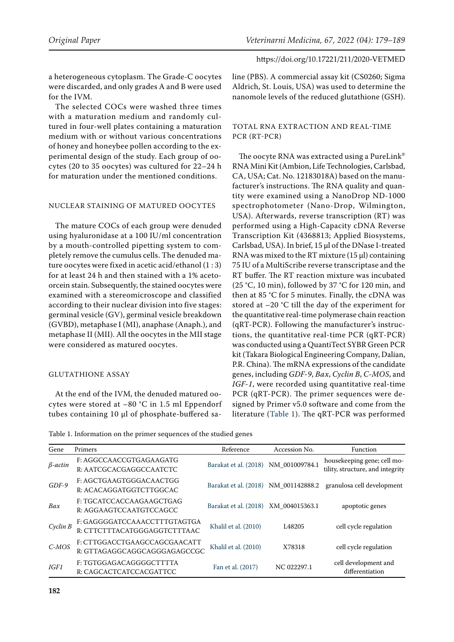a heterogeneous cytoplasm. The Grade-C oocytes were discarded, and only grades A and B were used for the IVM.

The selected COCs were washed three times with a maturation medium and randomly cultured in four-well plates containing a maturation medium with or without various concentrations of honey and honeybee pollen according to the experimental design of the study. Each group of oocytes (20 to 35 oocytes) was cultured for 22–24 h for maturation under the mentioned conditions.

### NUCLEAR STAINING OF MATURED OOCYTES

The mature COCs of each group were denuded using hyaluronidase at a 100 IU/ml concentration by a mouth-controlled pipetting system to completely remove the cumulus cells. The denuded mature oocytes were fixed in acetic acid/ethanol (1 : 3) for at least 24 h and then stained with a 1% acetoorcein stain. Subsequently, the stained oocytes were examined with a stereomicroscope and classified according to their nuclear division into five stages: germinal vesicle (GV), germinal vesicle breakdown (GVBD), metaphase I (MI), anaphase (Anaph.), and metaphase II (MII). All the oocytes in the MII stage were considered as matured oocytes.

### GLUTATHIONE ASSAY

At the end of the IVM, the denuded matured oocytes were stored at –80 °C in 1.5 ml Eppendorf tubes containing 10 µl of phosphate-buffered saline (PBS). A commercial assay kit (CS0260; Sigma Aldrich, St. Louis, USA) was used to determine the nanomole levels of the reduced glutathione (GSH).

## TOTAL RNA EXTRACTION AND REAL-TIME PCR (RT-PCR)

The oocyte RNA was extracted using a PureLink® RNA Mini Kit (Ambion, Life Technologies, Carlsbad, CA, USA; Cat. No. 12183018A) based on the manufacturer's instructions. The RNA quality and quantity were examined using a NanoDrop ND-1000 spectrophotometer (Nano-Drop, Wilmington, USA). Afterwards, reverse transcription (RT) was performed using a High-Capacity cDNA Reverse Transcription Kit (4368813; Applied Biosystems, Carlsbad, USA). In brief, 15 µl of the DNase I-treated RNA was mixed to the RT mixture  $(15 \mu l)$  containing 75 IU of a MultiScribe reverse transcriptase and the RT buffer. The RT reaction mixture was incubated (25 °C, 10 min), followed by 37 °C for 120 min, and then at 85 °C for 5 minutes. Finally, the cDNA was stored at –20 °C till the day of the experiment for the quantitative real-time polymerase chain reaction (qRT-PCR). Following the manufacturer's instructions, the quantitative real-time PCR (qRT-PCR) was conducted using a QuantiTect SYBR Green PCR kit (Takara Biological Engineering Company, Dalian, P.R. China). The mRNA expressions of the candidate genes, including *GDF-9*, *Bax*, *Cyclin B*, *C-MOS*, and *IGF-1*, were recorded using quantitative real-time PCR (qRT-PCR). The primer sequences were designed by Primer v5.0 software and come from the literature ([Table 1](#page-3-0)). The qRT-PCR was performed

<span id="page-3-0"></span>Table 1. Information on the primer sequences of the studied genes

| Gene      | Primers                                                      | Reference                            | Accession No.      | Function                                                        |
|-----------|--------------------------------------------------------------|--------------------------------------|--------------------|-----------------------------------------------------------------|
| $β-actin$ | F: AGGCCAACCGTGAGAAGATG<br>R: AATCGCACGAGGCCAATCTC           | Barakat et al. (2018) NM_001009784.1 |                    | housekeeping gene; cell mo-<br>tility, structure, and integrity |
| $GDF-9$   | F: AGCTGAAGTGGGACAACTGG<br>R: ACACAGGATGGTCTTGGCAC           | Barakat et al. (2018) NM_001142888.2 |                    | granulosa cell development                                      |
| Bax       | F: TGCATCCACCAAGAAGCTGAG<br>R: AGGAAGTCCAATGTCCAGCC          | Barakat et al. (2018) XM 004015363.1 |                    | apoptotic genes                                                 |
| Cyclin B  | F: GAGGGGATCCAAACCTTTGTAGTGA<br>R: CTTCTTTACATGGGAGGTCTTTAAC | Khalil et al. (2010)                 | L <sub>48205</sub> | cell cycle regulation                                           |
| $C-MOS$   | F: CTTGGACCTGAAGCCAGCGAACATT<br>R: GTTAGAGGCAGGCAGGGAGAGCCGC | Khalil et al. (2010)                 | X78318             | cell cycle regulation                                           |
| IGF1      | F: TGTGGAGACAGGGGCTTTTA<br>R: CAGCACTCATCCACGATTCC           | Fan et al. (2017)                    | NC 022297.1        | cell development and<br>differentiation                         |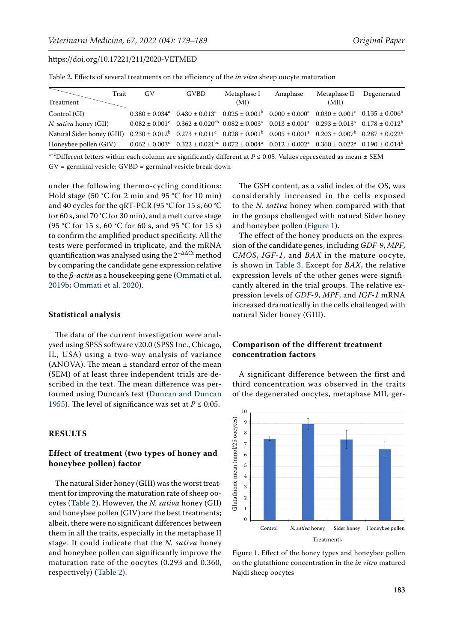<span id="page-4-0"></span>Table 2. Effects of several treatments on the efficiency of the *in vitro* sheep oocyte maturation

| Trait<br>Treatment                                                                                                                                 | GV | <b>GVBD</b>                                                                                                                                                                                | Metaphase I<br>(MI) | Anaphase | Metaphase II Degenerated<br>(MII) |  |
|----------------------------------------------------------------------------------------------------------------------------------------------------|----|--------------------------------------------------------------------------------------------------------------------------------------------------------------------------------------------|---------------------|----------|-----------------------------------|--|
| Control (GI)                                                                                                                                       |    | $0.0380 \pm 0.034^a$ $0.430 \pm 0.013^a$ $0.025 \pm 0.001^b$ $0.000 \pm 0.000^a$ $0.030 \pm 0.001^c$ $0.135 \pm 0.006^b$                                                                   |                     |          |                                   |  |
| N. sativa honey (GII)                                                                                                                              |    | $0.082 \pm 0.001^{\circ}$ $0.362 \pm 0.020^{\circ}$ $0.082 \pm 0.003^{\circ}$ $0.013 \pm 0.001^{\circ}$ $0.293 \pm 0.013^{\circ}$ $0.178 \pm 0.012^{\circ}$                                |                     |          |                                   |  |
| Natural Sider honey (GIII) $0.230 \pm 0.012^b$ $0.273 \pm 0.011^c$ $0.028 \pm 0.001^b$ $0.005 \pm 0.001^a$ $0.203 \pm 0.007^b$ $0.287 \pm 0.022^a$ |    |                                                                                                                                                                                            |                     |          |                                   |  |
| Honeybee pollen (GIV)                                                                                                                              |    | $0.062 \pm 0.003$ <sup>c</sup> $0.322 \pm 0.021$ <sup>bc</sup> $0.072 \pm 0.004$ <sup>a</sup> $0.012 \pm 0.002$ <sup>a</sup> $0.360 \pm 0.022$ <sup>a</sup> $0.190 \pm 0.014$ <sup>b</sup> |                     |          |                                   |  |

a–cDifferent letters within each column are significantly different at  $P \le 0.05$ . Values represented as mean  $\pm$  SEM GV = germinal vesicle; GVBD = germinal vesicle break down

under the following thermo-cycling conditions: Hold stage (50 °C for 2 min and 95 °C for 10 min) and 40 cycles for the qRT-PCR (95 °C for 15 s, 60 °C for 60 s, and 70 °C for 30 min), and a melt curve stage (95 °C for 15 s, 60 °C for 60 s, and 95 °C for 15 s) to confirm the amplified product specificity. All the tests were performed in triplicate, and the mRNA quantification was analysed using the  $2^{-\Delta\Delta Ct}$  method by comparing the candidate gene expression relative to the *β-actin* as a housekeeping gene [\(Ommati et al.](#page-10-3)  [2019b](#page-10-3); [Ommati et al. 2020](#page-10-4)).

### **Statistical analysis**

The data of the current investigation were analysed using SPSS software v20.0 (SPSS Inc., Chicago, IL, USA) using a two-way analysis of variance (ANOVA). The mean  $\pm$  standard error of the mean (SEM) of at least three independent trials are described in the text. The mean difference was performed using Duncan's test ([Duncan and Duncan](#page-9-15)  [1955](#page-9-15)). The level of significance was set at  $P \le 0.05$ .

# **RESULTS**

# **Effect of treatment (two types of honey and honeybee pollen) factor**

The natural Sider honey (GIII) was the worst treatment for improving the maturation rate of sheep oocytes ([Table 2\)](#page-4-0). However, the *N. sativa* honey (GII) and honeybee pollen (GIV) are the best treatments; albeit, there were no significant differences between them in all the traits, especially in the metaphase II stage. It could indicate that the *N. sativa* honey and honeybee pollen can significantly improve the maturation rate of the oocytes (0.293 and 0.360, respectively) ([Table 2\)](#page-4-0).

The GSH content, as a valid index of the OS, was considerably increased in the cells exposed to the *N. sativa* honey when compared with that in the groups challenged with natural Sider honey and honeybee pollen [\(Figure 1](#page-4-1)).

The effect of the honey products on the expression of the candidate genes, including *GDF-9*, *MPF*, *CMOS*, *IGF-1*, and *BAX* in the mature oocyte, is shown in [Table 3](#page-5-0). Except for *BAX*, the relative expression levels of the other genes were significantly altered in the trial groups. The relative expression levels of *GDF-9*, *MPF*, and *IGF-1* mRNA increased dramatically in the cells challenged with natural Sider honey (GIII).

# **Comparison of the different treatment concentration factors**

A significant difference between the first and third concentration was observed in the traits of the degenerated oocytes, metaphase MII, ger-

<span id="page-4-1"></span>

Figure 1. Effect of the honey types and honeybee pollen on the glutathione concentration in the *in vitro* matured Najdi sheep oocytes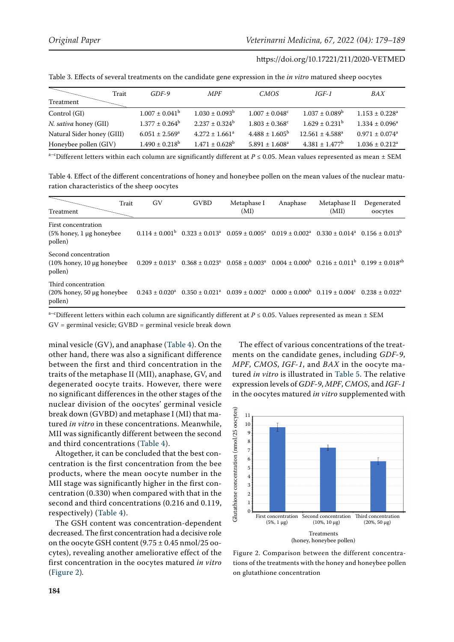|                            | Trait<br>$GDF-9$             | <b>MPF</b>                | <b>CMOS</b>                    | $IGF-1$                   | BAX                            |
|----------------------------|------------------------------|---------------------------|--------------------------------|---------------------------|--------------------------------|
| Treatment                  |                              |                           |                                |                           |                                |
| Control (GI)               | $1.007 \pm 0.041^b$          | $1.030 \pm 0.093^b$       | $1.007 \pm 0.048$ <sup>c</sup> | $1.037 \pm 0.089^b$       | $1.153 \pm 0.228$ <sup>a</sup> |
| N. sativa honey (GII)      | $1.377 \pm 0.264^b$          | $2.237 \pm 0.324^b$       | $1.803 \pm 0.368$ <sup>c</sup> | $1.629 \pm 0.231^{\rm b}$ | $1.334 \pm 0.096^a$            |
| Natural Sider honey (GIII) | $6.051 \pm 2.569^{\text{a}}$ | $4.272 \pm 1.661^a$       | $4.488 \pm 1.605^{\circ}$      | $12.561 \pm 4.588^a$      | $0.971 \pm 0.074$ <sup>a</sup> |
| Honeybee pollen (GIV)      | $1.490 \pm 0.218^{\rm b}$    | $1.471 \pm 0.628^{\rm b}$ | $5.891 \pm 1.608^a$            | $4.381 \pm 1.477^b$       | $1.036 \pm 0.212^a$            |

<span id="page-5-0"></span>Table 3. Effects of several treatments on the candidate gene expression in the *in vitro* matured sheep oocytes

a–cDifferent letters within each column are significantly different at *P* ≤ 0.05. Mean values represented as mean ± SEM

<span id="page-5-1"></span>Table 4. Effect of the different concentrations of honey and honeybee pollen on the mean values of the nuclear maturation characteristics of the sheep oocytes

| Treatment                                                             | Trait | GV                  | <b>GVBD</b> | Metaphase I<br>(MI) | Anaphase                                                                                                                                                    | Metaphase II<br>(MII) | Degenerated<br>oocytes |
|-----------------------------------------------------------------------|-------|---------------------|-------------|---------------------|-------------------------------------------------------------------------------------------------------------------------------------------------------------|-----------------------|------------------------|
| First concentration<br>$(5\%$ honey, 1 µg honeybee<br>pollen)         |       |                     |             |                     | $0.114 \pm 0.001^{\circ}$ $0.323 \pm 0.013^{\circ}$ $0.059 \pm 0.005^{\circ}$ $0.019 \pm 0.002^{\circ}$ $0.330 \pm 0.014^{\circ}$ $0.156 \pm 0.013^{\circ}$ |                       |                        |
| Second concentration<br>$(10\%$ honey, 10 $\mu$ g honeybee<br>pollen) |       |                     |             |                     | $0.0209 \pm 0.013^a$ $0.368 \pm 0.023^a$ $0.058 \pm 0.003^a$ $0.004 \pm 0.000^b$ $0.216 \pm 0.011^b$ $0.199 \pm 0.018^{ab}$                                 |                       |                        |
| Third concentration<br>$(20\%$ honey, 50 $\mu$ g honeybee<br>pollen)  |       | $0.243 \pm 0.020^a$ |             |                     | $0.350 \pm 0.021^a$ $0.039 \pm 0.002^a$ $0.000 \pm 0.000^b$ $0.119 \pm 0.004^c$ $0.238 \pm 0.022^a$                                                         |                       |                        |

a<sup>-c</sup>Different letters within each column are significantly different at  $P \le 0.05$ . Values represented as mean  $\pm$  SEM GV = germinal vesicle; GVBD = germinal vesicle break down

minal vesicle (GV), and anaphase ([Table 4](#page-5-1)). On the other hand, there was also a significant difference between the first and third concentration in the traits of the metaphase II (MII), anaphase, GV, and degenerated oocyte traits. However, there were no significant differences in the other stages of the nuclear division of the oocytes' germinal vesicle break down (GVBD) and metaphase I (MI) that matured *in vitro* in these concentrations. Meanwhile, MII was significantly different between the second and third concentrations ([Table 4\)](#page-5-1).

Altogether, it can be concluded that the best concentration is the first concentration from the bee products, where the mean oocyte number in the MII stage was significantly higher in the first concentration (0.330) when compared with that in the second and third concentrations (0.216 and 0.119, respectively) ([Table 4\)](#page-5-1).

The GSH content was concentration-dependent decreased. The first concentration had a decisive role on the oocyte GSH content  $(9.75 \pm 0.45 \text{ nmol}/25 \text{ oo}$ cytes), revealing another ameliorative effect of the first concentration in the oocytes matured *in vitro*  [\(Figure 2](#page-5-2))*.*

The effect of various concentrations of the treatments on the candidate genes, including *GDF-9*, *MPF*, *CMOS*, *IGF-1*, and *BAX* in the oocyte matured *in vitro* is illustrated in [Table 5.](#page-6-0) The relative expression levels of *GDF-9*, *MPF*, *CMOS*, and *IGF-1* in the oocytes matured *in vitro* supplemented with

<span id="page-5-2"></span>

Figure 2. Comparison between the different concentrations of the treatments with the honey and honeybee pollen on glutathione concentration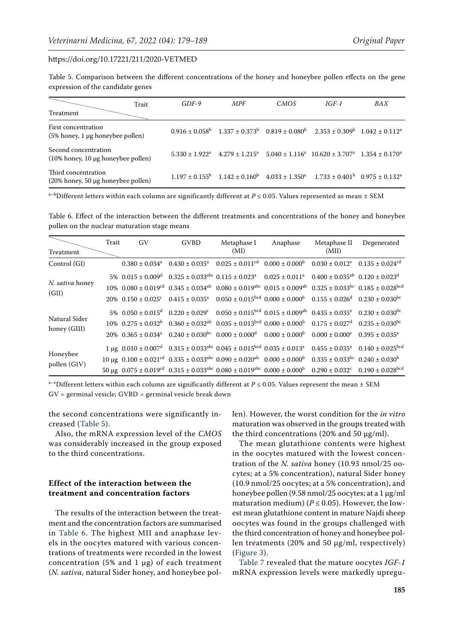<span id="page-6-0"></span>Table 5. Comparison between the different concentrations of the honey and honeybee pollen effects on the gene expression of the candidate genes

|                                                               | Trait | $GDF-9$                      | <b>MPF</b> | CMOS | IGF-1                                                                                                                             | BAX |
|---------------------------------------------------------------|-------|------------------------------|------------|------|-----------------------------------------------------------------------------------------------------------------------------------|-----|
| <b>Treatment</b>                                              |       |                              |            |      |                                                                                                                                   |     |
| First concentration<br>(5% honey, 1 µg honeybee pollen)       |       |                              |            |      | $0.916 \pm 0.058^{\circ}$ $1.337 \pm 0.373^{\circ}$ $0.819 \pm 0.080^{\circ}$ $2.353 \pm 0.309^{\circ}$ $1.042 \pm 0.112^{\circ}$ |     |
| Second concentration<br>$(10\%$ honey, 10 µg honeybee pollen) |       | $5.330 \pm 1.922^{\text{a}}$ |            |      | $4.279 \pm 1.215^a$ $5.040 \pm 1.116^a$ $10.620 \pm 3.707^a$ $1.354 \pm 0.170^a$                                                  |     |
| Third concentration<br>(20% honey, 50 μg honeybee pollen)     |       |                              |            |      | $1.197 \pm 0.155^{\circ}$ $1.142 \pm 0.160^{\circ}$ $4.033 \pm 1.350^{\circ}$ $1.733 \pm 0.401^{\circ}$ $0.975 \pm 0.132^{\circ}$ |     |

a<sup>-b</sup>Different letters within each column are significantly different at  $P \le 0.05$ . Values represented as mean  $\pm$  SEM

<span id="page-6-1"></span>Table 6. Effect of the interaction between the different treatments and concentrations of the honey and honeybee pollen on the nuclear maturation stage means

| Treatment                     | Trait | GV | <b>GVBD</b> | Metaphase I<br>(MI)                                                                                                                                                                                         | Anaphase | (MII) | Metaphase II Degenerated |
|-------------------------------|-------|----|-------------|-------------------------------------------------------------------------------------------------------------------------------------------------------------------------------------------------------------|----------|-------|--------------------------|
| Control (GI)                  |       |    |             | $0.0380 \pm 0.034^a$ $0.430 \pm 0.035^a$ $0.025 \pm 0.011^{\text{cd}}$ $0.000 \pm 0.000^{\text{b}}$ $0.030 \pm 0.012^{\text{e}}$ $0.135 \pm 0.024^{\text{cd}}$                                              |          |       |                          |
|                               |       |    |             | $5\%$ 0.015 ± 0.009 <sup>d</sup> 0.325 ± 0.033 <sup>abc</sup> 0.115 ± 0.023 <sup>a</sup> 0.025 ± 0.011 <sup>a</sup> 0.400 ± 0.035 <sup>ab</sup> 0.120 ± 0.023 <sup>d</sup>                                  |          |       |                          |
| N. sativa honey               |       |    |             | $10\%$ 0.080 ± 0.019 <sup>cd</sup> 0.345 ± 0.034 <sup>ab</sup> 0.080 ± 0.019 <sup>abc</sup> 0.015 ± 0.009 <sup>ab</sup> 0.325 ± 0.033 <sup>bc</sup> 0.185 ± 0.028 <sup>bcd</sup>                            |          |       |                          |
| (GII)                         |       |    |             | $20\%$ 0.150 ± 0.025° 0.415 ± 0.035 <sup>a</sup> 0.050 ± 0.015 <sup>bcd</sup> 0.000 ± 0.000 <sup>b</sup> 0.155 ± 0.026 <sup>d</sup> 0.230 ± 0.030 <sup>bc</sup>                                             |          |       |                          |
|                               |       |    |             | $5\%$ 0.050 ± 0.015 <sup>d</sup> 0.220 ± 0.029 <sup>c</sup> 0.050 ± 0.015 <sup>bcd</sup> 0.015 ± 0.009 <sup>ab</sup> 0.435 ± 0.035 <sup>a</sup> 0.230 ± 0.030 <sup>bc</sup>                                 |          |       |                          |
| Natural Sider<br>honey (GIII) |       |    |             | $10\%$ 0.275 $\pm$ 0.032 <sup>b</sup> 0.360 $\pm$ 0.032 <sup>ab</sup> 0.035 $\pm$ 0.013 <sup>bcd</sup> 0.000 $\pm$ 0.000 <sup>b</sup> 0.175 $\pm$ 0.027 <sup>d</sup> 0.235 $\pm$ 0.030 <sup>bc</sup>        |          |       |                          |
|                               |       |    |             | $20\%$ 0.365 ± 0.034 <sup>3</sup> 0.240 ± 0.030 <sup>bc</sup> 0.000 ± 0.000 <sup>d</sup> 0.000 ± 0.000 <sup>b</sup> 0.000 ± 0.000 <sup>e</sup> 0.395 ± 0.035 <sup>3</sup>                                   |          |       |                          |
|                               |       |    |             | 1 µg $0.010 \pm 0.007^d$ $0.315 \pm 0.033^{abc}$ $0.045 \pm 0.015^{bcd}$ $0.035 \pm 0.013^a$ $0.455 \pm 0.035^a$ $0.140 \pm 0.025^{bcd}$                                                                    |          |       |                          |
| Honeybee<br>pollen (GIV)      |       |    |             | $10 \mu$ g $0.100 \pm 0.021$ <sup>cd</sup> $0.335 \pm 0.033$ <sup>abc</sup> $0.090 \pm 0.020$ <sup>ab</sup> $0.000 \pm 0.000^{\circ}$ $0.335 \pm 0.033^{\circ}$ c $0.240 \pm 0.030^{\circ}$                 |          |       |                          |
|                               |       |    |             | $50 \mu$ g $0.075 \pm 0.019$ <sup>cd</sup> $0.315 \pm 0.033$ <sup>abc</sup> $0.080 \pm 0.019$ <sup>abc</sup> $0.000 \pm 0.000$ <sup>b</sup> $0.290 \pm 0.032$ <sup>c</sup> $0.190 \pm 0.028$ <sup>bcd</sup> |          |       |                          |

a<sup>-e</sup>Different letters within each column are significantly different at  $P \le 0.05$ . Values represent the mean  $\pm$  SEM GV = germinal vesicle; GVBD = germinal vesicle break down

the second concentrations were significantly increased ([Table 5](#page-6-0)).

Also, the mRNA expression level of the *CMOS* was considerably increased in the group exposed to the third concentrations.

# **Effect of the interaction between the treatment and concentration factors**

The results of the interaction between the treatment and the concentration factors are summarised in [Table 6.](#page-6-1) The highest MII and anaphase levels in the oocytes matured with various concentrations of treatments were recorded in the lowest concentration (5% and 1  $\mu$ g) of each treatment (*N. sativa*, natural Sider honey, and honeybee pollen). However, the worst condition for the *in vitro* maturation was observed in the groups treated with the third concentrations (20% and 50  $\mu$ g/ml).

The mean glutathione contents were highest in the oocytes matured with the lowest concentration of the *N. sativa* honey (10.93 nmol/25 oocytes; at a 5% concentration), natural Sider honey (10.9 nmol/25 oocytes; at a 5% concentration), and honeybee pollen (9.58 nmol/25 oocytes; at a 1 µg/ml maturation medium) ( $P \le 0.05$ ). However, the lowest mean glutathione content in mature Najdi sheep oocytes was found in the groups challenged with the third concentration of honey and honeybee pollen treatments (20% and 50 µg/ml, respectively) [\(Figure 3\)](#page-7-0).

[Table 7](#page-7-1) revealed that the mature oocytes *IGF-1* mRNA expression levels were markedly upregu-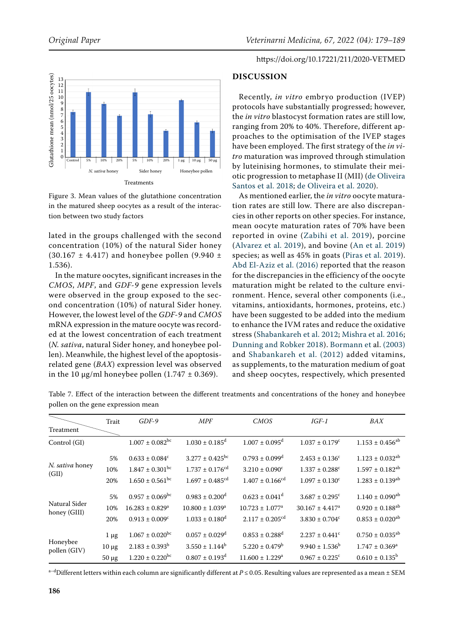<span id="page-7-0"></span>

Figure 3. Mean values of the glutathione concentration in the matured sheep oocytes as a result of the interaction between two study factors

lated in the groups challenged with the second concentration (10%) of the natural Sider honey  $(30.167 \pm 4.417)$  and honeybee pollen  $(9.940 \pm 1.62)$ 1.536).

In the mature oocytes, significant increases in the *CMOS*, *MPF*, and *GDF-9* gene expression levels were observed in the group exposed to the second concentration (10%) of natural Sider honey. However, the lowest level of the *GDF-9* and *CMOS* mRNA expression in the mature oocyte was recorded at the lowest concentration of each treatment (*N. sativa*, natural Sider honey, and honeybee pollen). Meanwhile, the highest level of the apoptosisrelated gene (*BAX*) expression level was observed in the 10  $\mu$ g/ml honeybee pollen (1.747  $\pm$  0.369).

### https://doi.org/10.17221/211/2020-VETMED

### **DISCUSSION**

Recently, *in vitro* embryo production (IVEP) protocols have substantially progressed; however, the *in vitro* blastocyst formation rates are still low, ranging from 20% to 40%. Therefore, different approaches to the optimisation of the IVEP stages have been employed. The first strategy of the *in vitro* maturation was improved through stimulation by luteinising hormones, to stimulate their meiotic progression to metaphase II (MII) [\(de Oliveira](#page-9-16) [Santos et al. 2018;](#page-9-16) [de Oliveira et al. 2020\)](#page-9-17).

As mentioned earlier, the *in vitro* oocyte maturation rates are still low. There are also discrepancies in other reports on other species. For instance, mean oocyte maturation rates of 70% have been reported in ovine ([Zabihi et al. 2019\)](#page-10-8), porcine [\(Alvarez et al. 2019](#page-9-18)), and bovine ([An et al. 2019](#page-9-19)) species; as well as 45% in goats ([Piras et al. 2019](#page-10-10)). [Abd El-Aziz et al. \(2016\)](#page-8-1) reported that the reason for the discrepancies in the efficiency of the oocyte maturation might be related to the culture environment. Hence, several other components (i.e., vitamins, antioxidants, hormones, proteins, etc.) have been suggested to be added into the medium to enhance the IVM rates and reduce the oxidative stress [\(Shabankareh et al. 2012;](#page-10-7) [Mishra et al. 2016](#page-9-20); [Dunning and Robker 2018](#page-9-0)). [Bormann et al. \(2003\)](#page-9-6) and [Shabankareh et al. \(2012\)](#page-10-7) added vitamins, as supplements, to the maturation medium of goat and sheep oocytes, respectively, which presented

<span id="page-7-1"></span>Table 7. Effect of the interaction between the different treatments and concentrations of the honey and honeybee pollen on the gene expression mean

|                               | Trait      | $GDF-9$                         | <b>MPF</b>                      | <b>CMOS</b>                     | $IGF-1$                         | BAX                             |
|-------------------------------|------------|---------------------------------|---------------------------------|---------------------------------|---------------------------------|---------------------------------|
| Treatment                     |            |                                 |                                 |                                 |                                 |                                 |
| Control (GI)                  |            | $1.007 \pm 0.082$ <sup>bc</sup> | $1.030 \pm 0.185$ <sup>d</sup>  | $1.007 \pm 0.095$ <sup>d</sup>  | $1.037 \pm 0.179$ <sup>c</sup>  | $1.153 \pm 0.456^{ab}$          |
|                               | 5%         | $0.633 \pm 0.084^c$             | $3.277 \pm 0.425$ <sup>bc</sup> | $0.793 \pm 0.099$ <sup>d</sup>  | $2.453 \pm 0.136^c$             | $1.123 \pm 0.032^{ab}$          |
| N. sativa honey<br>(GII)      | 10%        | $1.847 \pm 0.301$ <sup>bc</sup> | $1.737 \pm 0.176$ <sup>cd</sup> | $3.210 \pm 0.090^{\circ}$       | $1.337 \pm 0.288$ <sup>c</sup>  | $1.597 \pm 0.182^{ab}$          |
|                               | 20%        | $1.650 \pm 0.561$ <sup>bc</sup> | $1.697 \pm 0.485$ <sup>cd</sup> | $1.407 \pm 0.166$ <sup>cd</sup> | $1.097 \pm 0.130^c$             | $1.283 \pm 0.139^{ab}$          |
|                               | 5%         | $0.957 \pm 0.069$ <sup>bc</sup> | $0.983 \pm 0.200$ <sup>d</sup>  | $0.623 \pm 0.041$ <sup>d</sup>  | $3.687 \pm 0.295$ <sup>c</sup>  | $1.140 \pm 0.090$ <sup>ab</sup> |
| Natural Sider<br>honey (GIII) | 10%        | $16.283 \pm 0.829$ <sup>a</sup> | $10.800 \pm 1.039$ <sup>a</sup> | $10.723 \pm 1.077$ <sup>a</sup> | $30.167 \pm 4.417$ <sup>a</sup> | $0.920 \pm 0.188$ <sup>ab</sup> |
|                               | 20%        | $0.913 \pm 0.009^{\circ}$       | $1.033 \pm 0.180$ <sup>d</sup>  | $2.117 \pm 0.205^{\text{cd}}$   | $3.830 \pm 0.704^c$             | $0.853 \pm 0.020^{ab}$          |
|                               | $1 \mu g$  | $1.067 \pm 0.020$ <sup>bc</sup> | $0.057 \pm 0.029$ <sup>d</sup>  | $0.853 \pm 0.288$ <sup>d</sup>  | $2.237 \pm 0.441$ <sup>c</sup>  | $0.750 \pm 0.035^{ab}$          |
| Honeybee<br>pollen (GIV)      | $10 \mu g$ | $2.183 \pm 0.393^{\rm b}$       | $3.550 \pm 1.144^b$             | $5.220 \pm 0.479^b$             | $9.940 \pm 1.536^b$             | $1.747 \pm 0.369^a$             |
|                               | $50 \mu g$ | $1.220 \pm 0.220$ <sup>bc</sup> | $0.807 \pm 0.193$ <sup>d</sup>  | $11.600 \pm 1.229^a$            | $0.967 \pm 0.225$ <sup>c</sup>  | $0.610 \pm 0.135^b$             |

<sup>a-d</sup>Different letters within each column are significantly different at *P* ≤ 0.05. Resulting values are represented as a mean ± SEM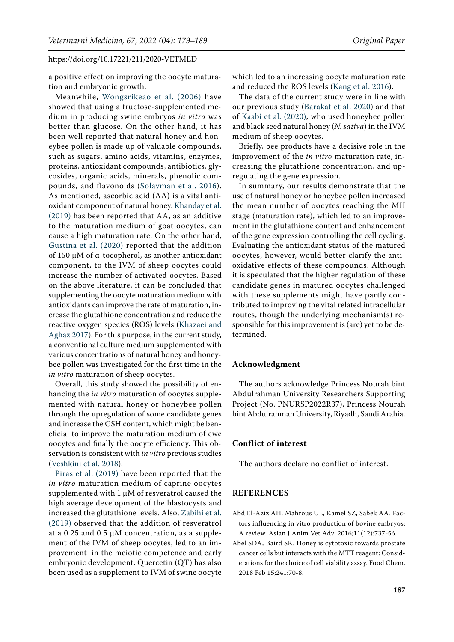a positive effect on improving the oocyte maturation and embryonic growth.

Meanwhile, [Wongsrikeao et al. \(2006\)](#page-10-6) have showed that using a fructose-supplemented medium in producing swine embryos *in vitro* was better than glucose. On the other hand, it has been well reported that natural honey and honeybee pollen is made up of valuable compounds, such as sugars, amino acids, vitamins, enzymes, proteins, antioxidant compounds, antibiotics, glycosides, organic acids, minerals, phenolic compounds, and flavonoids ([Solayman et al. 2016](#page-10-11)). As mentioned, ascorbic acid (AA) is a vital antioxidant component of natural honey. [Khanday et al.](#page-9-21)  [\(2019\)](#page-9-21) has been reported that AA, as an additive to the maturation medium of goat oocytes, can cause a high maturation rate. On the other hand, [Gustina et al. \(2020\) r](#page-9-22)eported that the addition of 150 µM of α-tocopherol, as another antioxidant component, to the IVM of sheep oocytes could increase the number of activated oocytes. Based on the above literature, it can be concluded that supplementing the oocyte maturation medium with antioxidants can improve the rate of maturation, increase the glutathione concentration and reduce the reactive oxygen species (ROS) levels ([Khazaei and](#page-9-23)  [Aghaz 2017\)](#page-9-23). For this purpose, in the current study, a conventional culture medium supplemented with various concentrations of natural honey and honeybee pollen was investigated for the first time in the *in vitro* maturation of sheep oocytes.

Overall, this study showed the possibility of enhancing the *in vitro* maturation of oocytes supplemented with natural honey or honeybee pollen through the upregulation of some candidate genes and increase the GSH content, which might be beneficial to improve the maturation medium of ewe oocytes and finally the oocyte efficiency. This observation is consistent with *in vitro* previous studies ([Veshkini et al. 2018](#page-10-12)).

[Piras et al. \(2019\) h](#page-10-10)ave been reported that the *in vitro* maturation medium of caprine oocytes supplemented with  $1 \mu M$  of resveratrol caused the high average development of the blastocysts and increased the glutathione levels. Also, [Zabihi et al.](#page-10-8)  [\(2019\)](#page-10-8) observed that the addition of resveratrol at a 0.25 and 0.5  $\mu$ M concentration, as a supplement of the IVM of sheep oocytes, led to an improvement in the meiotic competence and early embryonic development. Quercetin (QT) has also been used as a supplement to IVM of swine oocyte

which led to an increasing oocyte maturation rate and reduced the ROS levels ([Kang et al. 2016](#page-9-7)).

The data of the current study were in line with our previous study ([Barakat et al. 2020](#page-9-9)) and that of [Kaabi et al. \(2020\),](#page-9-10) who used honeybee pollen and black seed natural honey (*N. sativa*) in the IVM medium of sheep oocytes.

Briefly, bee products have a decisive role in the improvement of the *in vitro* maturation rate, increasing the glutathione concentration, and upregulating the gene expression.

In summary, our results demonstrate that the use of natural honey or honeybee pollen increased the mean number of oocytes reaching the MII stage (maturation rate), which led to an improvement in the glutathione content and enhancement of the gene expression controlling the cell cycling. Evaluating the antioxidant status of the matured oocytes, however, would better clarify the antioxidative effects of these compounds. Although it is speculated that the higher regulation of these candidate genes in matured oocytes challenged with these supplements might have partly contributed to improving the vital related intracellular routes, though the underlying mechanism(s) responsible for this improvement is (are) yet to be determined.

### **Acknowledgment**

The authors acknowledge Princess Nourah bint Abdulrahman University Researchers Supporting Project (No. PNURSP2022R37), Princess Nourah bint Abdulrahman University, Riyadh, Saudi Arabia.

### **Conflict of interest**

The authors declare no conflict of interest.

# **REFERENCES**

- <span id="page-8-1"></span>Abd El-Aziz AH, Mahrous UE, Kamel SZ, Sabek AA. Factors influencing in vitro production of bovine embryos: A review. Asian J Anim Vet Adv. 2016;11(12):737-56.
- <span id="page-8-0"></span>Abel SDA, Baird SK. Honey is cytotoxic towards prostate cancer cells but interacts with the MTT reagent: Considerations for the choice of cell viability assay. Food Chem. 2018 Feb 15;241:70-8.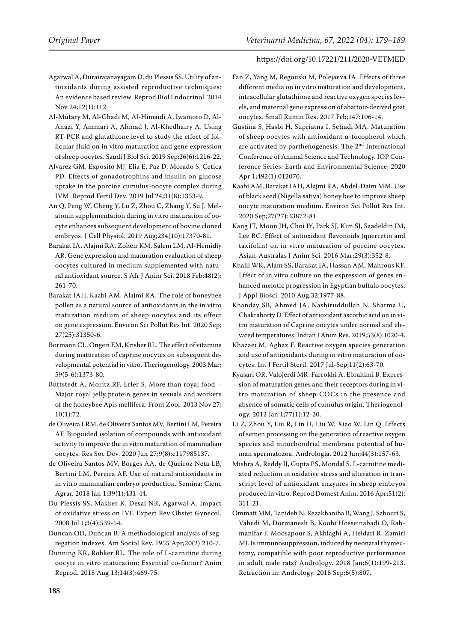- <span id="page-9-4"></span>Agarwal A, Durairajanayagam D, du Plessis SS. Utility of antioxidants during assisted reproductive techniques: An evidence based review. Reprod Biol Endocrinol. 2014 Nov 24;12(1):112.
- <span id="page-9-8"></span>Al-Mutary M, Al-Ghadi M, Al-Himaidi A, Iwamoto D, Al-Anazi Y, Ammari A, Ahmad J, Al-Khedhairy A. Using RT-PCR and glutathione level to study the effect of follicular fluid on in vitro maturation and gene expression of sheep oocytes. Saudi J Biol Sci. 2019 Sep;26(6):1216-22.
- <span id="page-9-18"></span>Alvarez GM, Exposito MJ, Elia E, Paz D, Morado S, Cetica PD. Effects of gonadotrophins and insulin on glucose uptake in the porcine cumulus-oocyte complex during IVM. Reprod Fertil Dev. 2019 Jul 24;31(8):1353-9.
- <span id="page-9-19"></span>An Q, Peng W, Cheng Y, Lu Z, Zhou C, Zhang Y, Su J. Melatonin supplementation during in vitro maturation of oocyte enhances subsequent development of bovine cloned embryos. J Cell Physiol. 2019 Aug;234(10):17370-81.
- <span id="page-9-12"></span>Barakat IA, Alajmi RA, Zoheir KM, Salem LM, Al-Hemidiy AR. Gene expression and maturation evaluation of sheep oocytes cultured in medium supplemented with natural antioxidant source. S Afr J Anim Sci. 2018 Feb;48(2): 261-70.
- <span id="page-9-9"></span>Barakat IAH, Kaabi AM, Alajmi RA. The role of honeybee pollen as a natural source of antioxidants in the in vitro maturation medium of sheep oocytes and its effect on gene expression. Environ Sci Pollut Res Int. 2020 Sep; 27(25):31350-6.
- <span id="page-9-6"></span>Bormann CL, Ongeri EM, Krisher RL. The effect of vitamins during maturation of caprine oocytes on subsequent developmental potential in vitro. Theriogenology. 2003 Mar; 59(5-6):1373-80.
- <span id="page-9-11"></span>Buttstedt A, Moritz RF, Erler S. More than royal food – Major royal jelly protein genes in sexuals and workers of the honeybee Apis mellifera. Front Zool. 2013 Nov 27; 10(1):72.
- <span id="page-9-17"></span>de Oliveira LRM, de Oliveira Santos MV, Bertini LM, Pereira AF. Bioguided isolation of compounds with antioxidant activity to improve the in vitro maturation of mammalian oocytes. Res Soc Dev. 2020 Jun 27;9(8):e117985137.
- <span id="page-9-16"></span>de Oliveira Santos MV, Borges AA, de Queiroz Neta LB, Bertini LM, Pereira AF. Use of natural antioxidants in in vitro mammalian embryo production. Semina: Cienc Agrar. 2018 Jan 1;39(1):431-44.
- <span id="page-9-2"></span>Du Plessis SS, Makker K, Desai NR, Agarwal A. Impact of oxidative stress on IVF. Expert Rev Obstet Gynecol. 2008 Jul 1;3(4):539-54.
- <span id="page-9-15"></span>Duncan OD, Duncan B. A methodological analysis of segregation indexes. Am Sociol Rev. 1955 Apr;20(2):210-7.
- <span id="page-9-0"></span>Dunning KR, Robker RL. The role of L-carnitine during oocyte in vitro maturation: Essential co-factor? Anim Reprod. 2018 Aug 13;14(3):469-75.
- <span id="page-9-14"></span>Fan Z, Yang M, Regouski M, Polejaeva IA. Effects of three different media on in vitro maturation and development, intracellular glutathione and reactive oxygen species levels, and maternal gene expression of abattoir-derived goat oocytes. Small Rumin Res. 2017 Feb;147:106-14.
- <span id="page-9-22"></span>Gustina S, Hasbi H, Supriatna I, Setiadi MA. Maturation of sheep oocytes with antioxidant α-tocopherol which are activated by parthenogenesis. The 2<sup>nd</sup> International Conference of Animal Science and Technology. IOP Conference Series: Earth and Environmental Science; 2020 Apr 1;492(1):012070.
- <span id="page-9-10"></span>Kaabi AM, Barakat IAH, Alajmi RA, Abdel-Daim MM. Use of black seed (Nigella sativa) honey bee to improve sheep oocyte maturation medium. Environ Sci Pollut Res Int. 2020 Sep;27(27):33872-81.
- <span id="page-9-7"></span>Kang JT, Moon JH, Choi JY, Park SJ, Kim SJ, Saadeldin IM, Lee BC. Effect of antioxidant flavonoids (quercetin and taxifolin) on in vitro maturation of porcine oocytes. Asian-Australas J Anim Sci. 2016 Mar;29(3):352-8.
- <span id="page-9-13"></span>Khalil WK, Alam SS, Barakat IA, Hassan AM, Mahrous KF. Effect of in vitro culture on the expression of genes enhanced meiotic progression in Egyptian buffalo oocytes. J Appl Biosci. 2010 Aug;32:1977-88.
- <span id="page-9-21"></span>Khanday SB, Ahmed JA, Nashiruddullah N, Sharma U, Chakraborty D. Effect of antioxidant ascorbic acid on in vitro maturation of Caprine oocytes under normal and elevated temperatures. Indian J Anim Res. 2019;53(8):1020-4.
- <span id="page-9-23"></span>Khazaei M, Aghaz F. Reactive oxygen species generation and use of antioxidants during in vitro maturation of oocytes. Int J Fertil Steril. 2017 Jul-Sep;11(2):63-70.
- <span id="page-9-1"></span>Kyasari OR, Valojerdi MR, Farrokhi A, Ebrahimi B. Expression of maturation genes and their receptors during in vitro maturation of sheep COCs in the presence and absence of somatic cells of cumulus origin. Theriogenology. 2012 Jan 1;77(1):12-20.
- <span id="page-9-3"></span>Li Z, Zhou Y, Liu R, Lin H, Liu W, Xiao W, Lin Q. Effects of semen processing on the generation of reactive oxygen species and mitochondrial membrane potential of human spermatozoa. Andrologia. 2012 Jun;44(3):157-63.
- <span id="page-9-20"></span>Mishra A, Reddy IJ, Gupta PS, Mondal S. L-carnitine mediated reduction in oxidative stress and alteration in transcript level of antioxidant enzymes in sheep embryos produced in vitro. Reprod Domest Anim. 2016 Apr;51(2): 311-21.
- <span id="page-9-5"></span>Ommati MM, Tanideh N, Rezakhaniha B, Wang J, Sabouri S, Vahedi M, Dormanesh B, Koohi Hosseinabadi O, Rahmanifar F, Moosapour S, Akhlaghi A, Heidari R, Zamiri MJ. Is immunosuppression, induced by neonatal thymectomy, compatible with poor reproductive performance in adult male rats? Andrology. 2018 Jan;6(1):199-213. Retraction in: Andrology. 2018 Sep;6(5):807.